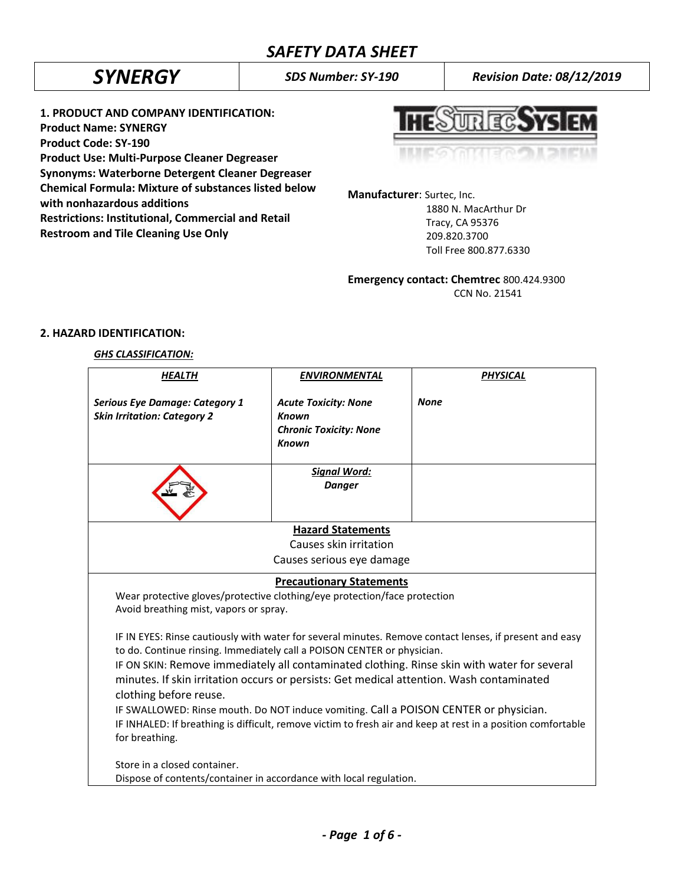*SYNERGY SDS Number: SY-190 Revision Date: 08/12/2019*

**1. PRODUCT AND COMPANY IDENTIFICATION: Product Name: SYNERGY Product Code: SY-190 Product Use: Multi-Purpose Cleaner Degreaser Synonyms: Waterborne Detergent Cleaner Degreaser Chemical Formula: Mixture of substances listed below with nonhazardous additions Restrictions: Institutional, Commercial and Retail Restroom and Tile Cleaning Use Only**



**Manufacturer**: Surtec, Inc. 1880 N. MacArthur Dr Tracy, CA 95376 209.820.3700 Toll Free 800.877.6330

**Emergency contact: Chemtrec** 800.424.9300

CCN No. 21541

# **2. HAZARD IDENTIFICATION:**

# *GHS CLASSIFICATION:*

| <b>HEALTH</b>                                                                                                                                                                                                                                                                                                                                                                                                                                                                                                                                                                                                                      | <b>ENVIRONMENTAL</b>                                                                         | <b>PHYSICAL</b> |  |  |
|------------------------------------------------------------------------------------------------------------------------------------------------------------------------------------------------------------------------------------------------------------------------------------------------------------------------------------------------------------------------------------------------------------------------------------------------------------------------------------------------------------------------------------------------------------------------------------------------------------------------------------|----------------------------------------------------------------------------------------------|-----------------|--|--|
| <b>Serious Eye Damage: Category 1</b><br><b>Skin Irritation: Category 2</b>                                                                                                                                                                                                                                                                                                                                                                                                                                                                                                                                                        | <b>Acute Toxicity: None</b><br><b>Known</b><br><b>Chronic Toxicity: None</b><br><b>Known</b> | <b>None</b>     |  |  |
|                                                                                                                                                                                                                                                                                                                                                                                                                                                                                                                                                                                                                                    | <b>Signal Word:</b><br><b>Danger</b>                                                         |                 |  |  |
| <b>Hazard Statements</b>                                                                                                                                                                                                                                                                                                                                                                                                                                                                                                                                                                                                           |                                                                                              |                 |  |  |
|                                                                                                                                                                                                                                                                                                                                                                                                                                                                                                                                                                                                                                    | Causes skin irritation                                                                       |                 |  |  |
|                                                                                                                                                                                                                                                                                                                                                                                                                                                                                                                                                                                                                                    | Causes serious eye damage                                                                    |                 |  |  |
|                                                                                                                                                                                                                                                                                                                                                                                                                                                                                                                                                                                                                                    | <b>Precautionary Statements</b>                                                              |                 |  |  |
| Wear protective gloves/protective clothing/eye protection/face protection<br>Avoid breathing mist, vapors or spray.                                                                                                                                                                                                                                                                                                                                                                                                                                                                                                                |                                                                                              |                 |  |  |
| IF IN EYES: Rinse cautiously with water for several minutes. Remove contact lenses, if present and easy<br>to do. Continue rinsing. Immediately call a POISON CENTER or physician.<br>IF ON SKIN: Remove immediately all contaminated clothing. Rinse skin with water for several<br>minutes. If skin irritation occurs or persists: Get medical attention. Wash contaminated<br>clothing before reuse.<br>IF SWALLOWED: Rinse mouth. Do NOT induce vomiting. Call a POISON CENTER or physician.<br>IF INHALED: If breathing is difficult, remove victim to fresh air and keep at rest in a position comfortable<br>for breathing. |                                                                                              |                 |  |  |
| Store in a closed container.<br>Dispose of contents/container in accordance with local regulation.                                                                                                                                                                                                                                                                                                                                                                                                                                                                                                                                 |                                                                                              |                 |  |  |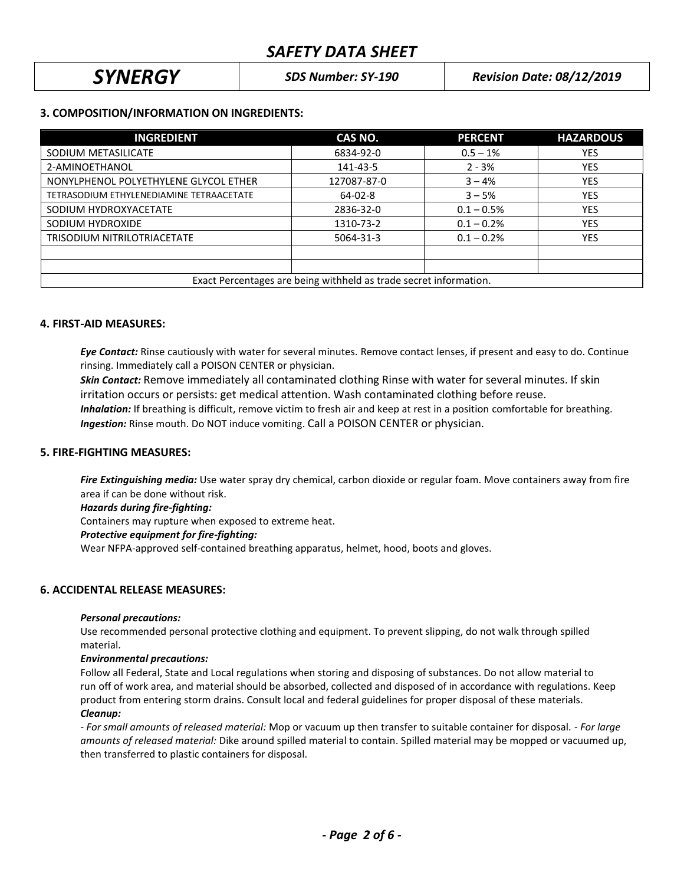*SYNERGY SDS Number: SY-190 Revision Date: 08/12/2019*

# **3. COMPOSITION/INFORMATION ON INGREDIENTS:**

| <b>INGREDIENT</b>                                                 | CAS NO.     | <b>PERCENT</b> | <b>HAZARDOUS</b> |  |  |
|-------------------------------------------------------------------|-------------|----------------|------------------|--|--|
| SODIUM METASILICATE                                               | 6834-92-0   | $0.5 - 1%$     | <b>YES</b>       |  |  |
| 2-AMINOETHANOL                                                    | 141-43-5    | $2 - 3%$       | <b>YES</b>       |  |  |
| NONYLPHENOL POLYETHYLENE GLYCOL ETHER                             | 127087-87-0 | $3 - 4%$       | <b>YES</b>       |  |  |
| TETRASODIUM ETHYLENEDIAMINE TETRAACETATE                          | $64-02-8$   | $3 - 5%$       | <b>YES</b>       |  |  |
| SODIUM HYDROXYACETATE                                             | 2836-32-0   | $0.1 - 0.5%$   | <b>YES</b>       |  |  |
| SODIUM HYDROXIDE                                                  | 1310-73-2   | $0.1 - 0.2%$   | <b>YES</b>       |  |  |
| TRISODIUM NITRILOTRIACETATE                                       | 5064-31-3   | $0.1 - 0.2%$   | <b>YES</b>       |  |  |
|                                                                   |             |                |                  |  |  |
|                                                                   |             |                |                  |  |  |
| Exact Percentages are being withheld as trade secret information. |             |                |                  |  |  |

## **4. FIRST-AID MEASURES:**

*Eye Contact:* Rinse cautiously with water for several minutes. Remove contact lenses, if present and easy to do. Continue rinsing. Immediately call a POISON CENTER or physician.

*Skin Contact:* Remove immediately all contaminated clothing Rinse with water for several minutes. If skin irritation occurs or persists: get medical attention. Wash contaminated clothing before reuse.  *Inhalation:* If breathing is difficult, remove victim to fresh air and keep at rest in a position comfortable for breathing. *Ingestion:* Rinse mouth. Do NOT induce vomiting. Call a POISON CENTER or physician.

# **5. FIRE-FIGHTING MEASURES:**

*Fire Extinguishing media:* Use water spray dry chemical, carbon dioxide or regular foam. Move containers away from fire area if can be done without risk.

*Hazards during fire-fighting:*

Containers may rupture when exposed to extreme heat.

#### *Protective equipment for fire-fighting:*

Wear NFPA-approved self-contained breathing apparatus, helmet, hood, boots and gloves.

# **6. ACCIDENTAL RELEASE MEASURES:**

#### *Personal precautions:*

Use recommended personal protective clothing and equipment. To prevent slipping, do not walk through spilled material.

#### *Environmental precautions:*

Follow all Federal, State and Local regulations when storing and disposing of substances. Do not allow material to run off of work area, and material should be absorbed, collected and disposed of in accordance with regulations. Keep product from entering storm drains. Consult local and federal guidelines for proper disposal of these materials. *Cleanup:*

*- For small amounts of released material:* Mop or vacuum up then transfer to suitable container for disposal. - *For large amounts of released material:* Dike around spilled material to contain. Spilled material may be mopped or vacuumed up, then transferred to plastic containers for disposal.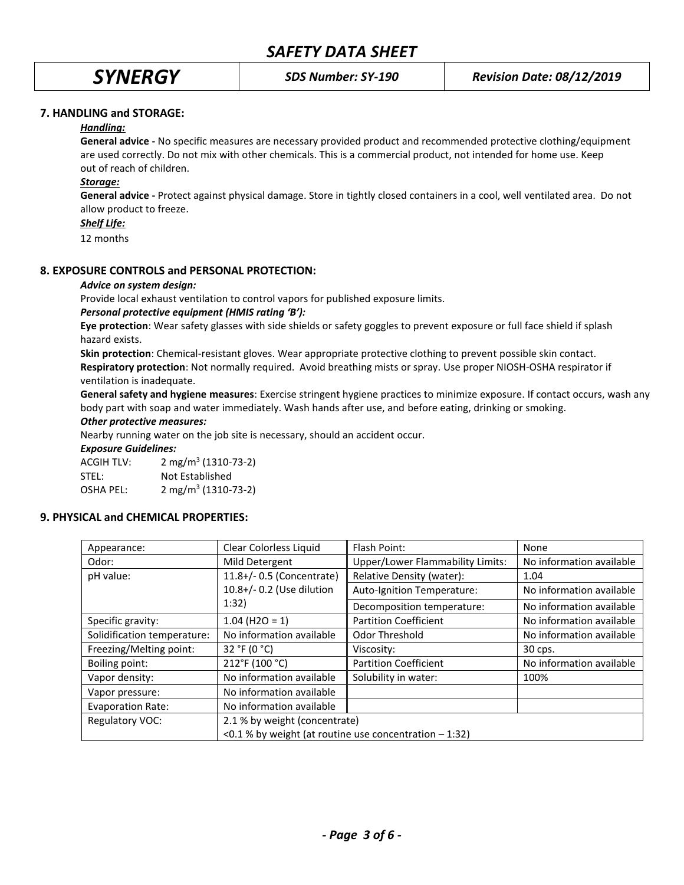# **7. HANDLING and STORAGE:**

# *Handling:*

**General advice -** No specific measures are necessary provided product and recommended protective clothing/equipment are used correctly. Do not mix with other chemicals. This is a commercial product, not intended for home use. Keep out of reach of children.

# *Storage:*

**General advice -** Protect against physical damage. Store in tightly closed containers in a cool, well ventilated area. Do not allow product to freeze.

### *Shelf Life:*

12 months

# **8. EXPOSURE CONTROLS and PERSONAL PROTECTION:**

## *Advice on system design:*

Provide local exhaust ventilation to control vapors for published exposure limits.

## *Personal protective equipment (HMIS rating 'B'):*

**Eye protection**: Wear safety glasses with side shields or safety goggles to prevent exposure or full face shield if splash hazard exists.

**Skin protection**: Chemical-resistant gloves. Wear appropriate protective clothing to prevent possible skin contact. **Respiratory protection**: Not normally required. Avoid breathing mists or spray. Use proper NIOSH-OSHA respirator if ventilation is inadequate.

**General safety and hygiene measures**: Exercise stringent hygiene practices to minimize exposure. If contact occurs, wash any body part with soap and water immediately. Wash hands after use, and before eating, drinking or smoking.

#### *Other protective measures:*

Nearby running water on the job site is necessary, should an accident occur.

#### *Exposure Guidelines:*

ACGIH TLV: 2 mg/m<sup>3</sup> (1310-73-2) STEL: Not Established OSHA PEL: 2 mg/m<sup>3</sup> (1310-73-2)

# **9. PHYSICAL and CHEMICAL PROPERTIES:**

| Appearance:                 | Clear Colorless Liquid                                         | Flash Point:                            | None                     |
|-----------------------------|----------------------------------------------------------------|-----------------------------------------|--------------------------|
| Odor:                       | Mild Detergent                                                 | <b>Upper/Lower Flammability Limits:</b> | No information available |
| pH value:                   | 11.8+/- 0.5 (Concentrate)                                      | Relative Density (water):               | 1.04                     |
|                             | 10.8+/- 0.2 (Use dilution                                      | Auto-Ignition Temperature:              | No information available |
| 1:32)                       |                                                                | Decomposition temperature:              | No information available |
| Specific gravity:           | $1.04$ (H2O = 1)                                               | <b>Partition Coefficient</b>            | No information available |
| Solidification temperature: | No information available                                       | Odor Threshold                          | No information available |
| Freezing/Melting point:     | 32 °F (0 $^{\circ}$ C)                                         | Viscosity:                              | 30 cps.                  |
| Boiling point:              | 212°F (100 °C)                                                 | <b>Partition Coefficient</b>            | No information available |
| Vapor density:              | No information available                                       | Solubility in water:                    | 100%                     |
| Vapor pressure:             | No information available                                       |                                         |                          |
| <b>Evaporation Rate:</b>    | No information available                                       |                                         |                          |
| Regulatory VOC:             | 2.1 % by weight (concentrate)                                  |                                         |                          |
|                             | $\leq$ 0.1 % by weight (at routine use concentration $-$ 1:32) |                                         |                          |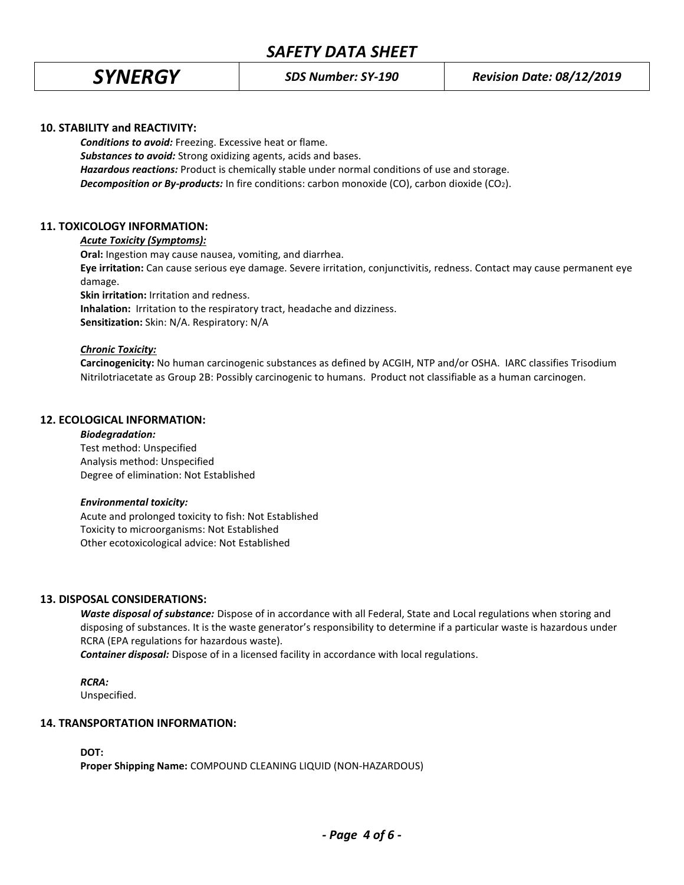# **10. STABILITY and REACTIVITY:**

*Conditions to avoid:* Freezing. Excessive heat or flame. *Substances to avoid:* Strong oxidizing agents, acids and bases. *Hazardous reactions:* Product is chemically stable under normal conditions of use and storage. **Decomposition or By-products:** In fire conditions: carbon monoxide (CO), carbon dioxide (CO<sub>2</sub>).

# **11. TOXICOLOGY INFORMATION:**

## *Acute Toxicity (Symptoms):*

**Oral:** Ingestion may cause nausea, vomiting, and diarrhea.

**Eye irritation:** Can cause serious eye damage. Severe irritation, conjunctivitis, redness. Contact may cause permanent eye damage.

**Skin irritation:** Irritation and redness.

**Inhalation:** Irritation to the respiratory tract, headache and dizziness.

**Sensitization:** Skin: N/A. Respiratory: N/A

## *Chronic Toxicity:*

**Carcinogenicity:** No human carcinogenic substances as defined by ACGIH, NTP and/or OSHA. IARC classifies Trisodium Nitrilotriacetate as Group 2B: Possibly carcinogenic to humans. Product not classifiable as a human carcinogen.

# **12. ECOLOGICAL INFORMATION:**

#### *Biodegradation:*

Test method: Unspecified Analysis method: Unspecified Degree of elimination: Not Established

#### *Environmental toxicity:*

Acute and prolonged toxicity to fish: Not Established Toxicity to microorganisms: Not Established Other ecotoxicological advice: Not Established

# **13. DISPOSAL CONSIDERATIONS:**

*Waste disposal of substance:* Dispose of in accordance with all Federal, State and Local regulations when storing and disposing of substances. It is the waste generator's responsibility to determine if a particular waste is hazardous under RCRA (EPA regulations for hazardous waste).

*Container disposal:* Dispose of in a licensed facility in accordance with local regulations.

# *RCRA:*

Unspecified.

#### **14. TRANSPORTATION INFORMATION:**

**DOT:**

**Proper Shipping Name:** COMPOUND CLEANING LIQUID (NON-HAZARDOUS)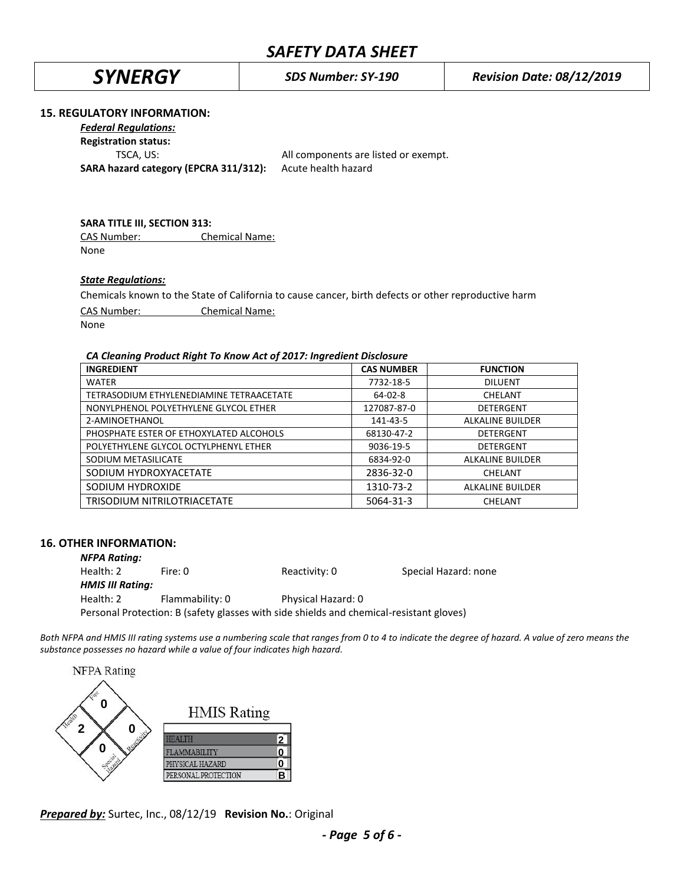*SYNERGY SDS Number: SY-190 Revision Date: 08/12/2019*

## **15. REGULATORY INFORMATION:**

*Federal Regulations:*

**Registration status:**

**SARA hazard category (EPCRA 311/312):** Acute health hazard

TSCA, US: All components are listed or exempt.

# **SARA TITLE III, SECTION 313:**

CAS Number: Chemical Name: None

## *State Regulations:*

Chemicals known to the State of California to cause cancer, birth defects or other reproductive harm

CAS Number: Chemical Name:

None

#### *CA Cleaning Product Right To Know Act of 2017: Ingredient Disclosure*

| <b>INGREDIENT</b>                        | <b>CAS NUMBER</b> | <b>FUNCTION</b>         |
|------------------------------------------|-------------------|-------------------------|
| <b>WATER</b>                             | 7732-18-5         | <b>DILUENT</b>          |
| TETRASODIUM ETHYLENEDIAMINE TETRAACETATE | $64 - 02 - 8$     | CHELANT                 |
| NONYLPHENOL POLYETHYLENE GLYCOL ETHER    | 127087-87-0       | DETERGENT               |
| 2-AMINOETHANOL                           | 141-43-5          | <b>ALKALINE BUILDER</b> |
| PHOSPHATE ESTER OF ETHOXYLATED ALCOHOLS  | 68130-47-2        | <b>DETERGENT</b>        |
| POLYETHYLENE GLYCOL OCTYLPHENYL ETHER    | 9036-19-5         | <b>DETERGENT</b>        |
| SODIUM METASILICATE                      | 6834-92-0         | ALKALINE BUILDER        |
| SODIUM HYDROXYACETATE                    | 2836-32-0         | CHELANT                 |
| SODIUM HYDROXIDE                         | 1310-73-2         | ALKALINE BUILDER        |
| TRISODIUM NITRILOTRIACETATE              | 5064-31-3         | CHELANT                 |

#### **16. OTHER INFORMATION:**

*NFPA Rating:* Health: 2 Fire: 0 Reactivity: 0 Special Hazard: none *HMIS III Rating:* Health: 2 Flammability: 0 Physical Hazard: 0 Personal Protection: B (safety glasses with side shields and chemical-resistant gloves)

*Both NFPA and HMIS III rating systems use a numbering scale that ranges from 0 to 4 to indicate the degree of hazard. A value of zero means the substance possesses no hazard while a value of four indicates high hazard.*



*Prepared by:* Surtec, Inc., 08/12/19 **Revision No.**: Original